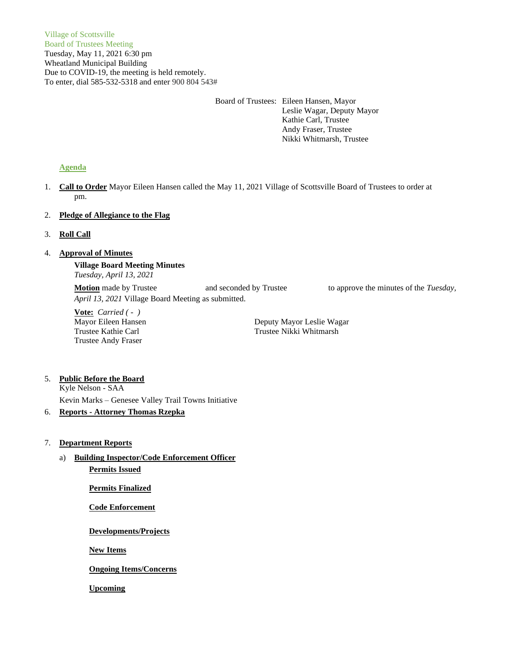# Board of Trustees: Eileen Hansen, Mayor

Leslie Wagar, Deputy Mayor Kathie Carl, Trustee Andy Fraser, Trustee Nikki Whitmarsh, Trustee

# **Agenda**

1. **Call to Order** Mayor Eileen Hansen called the May 11, 2021 Village of Scottsville Board of Trustees to order at pm.

### 2. **Pledge of Allegiance to the Flag**

3. **Roll Call**

# 4. **Approval of Minutes**

**Village Board Meeting Minutes** *Tuesday, April 13, 2021*

**Motion** made by Trustee and seconded by Trustee to approve the minutes of the *Tuesday*, *April 13, 2021* Village Board Meeting as submitted.

**Vote:** *Carried ( - )* Trustee Andy Fraser

Mayor Eileen Hansen **Deputy Mayor Leslie Wagar** Trustee Kathie Carl Trustee Nikki Whitmarsh

#### 5. **Public Before the Board** Kyle Nelson - SAA

Kevin Marks – Genesee Valley Trail Towns Initiative

# 6. **Reports - Attorney Thomas Rzepka**

### 7. **Department Reports**

a) **Building Inspector/Code Enforcement Officer Permits Issued**

**Permits Finalized**

**Code Enforcement**

**Developments/Projects**

**New Items**

**Ongoing Items/Concerns**

**Upcoming**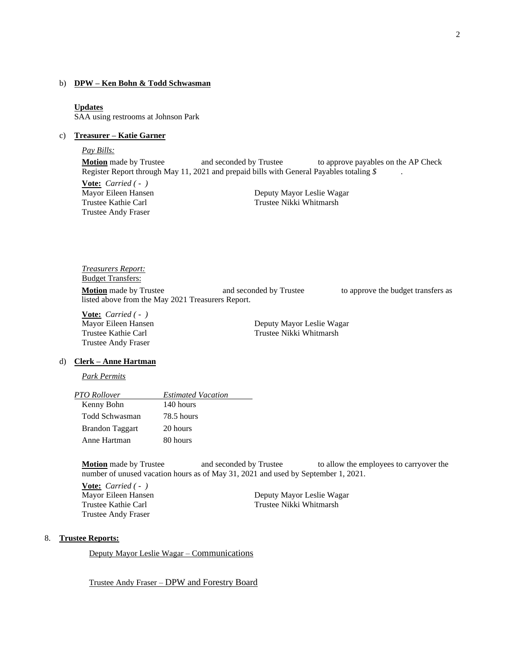#### b) **DPW – Ken Bohn & Todd Schwasman**

#### **Updates**

SAA using restrooms at Johnson Park

### c) **Treasurer – Katie Garner**

#### *Pay Bills:*

**Motion** made by Trustee and seconded by Trustee to approve payables on the AP Check Register Report through May 11, 2021 and prepaid bills with General Payables totaling *\$* .

**Vote:** *Carried ( - )* Trustee Andy Fraser

Mayor Eileen Hansen Deputy Mayor Leslie Wagar Trustee Kathie Carl Trustee Nikki Whitmarsh

*Treasurers Report:* Budget Transfers: **Motion** made by Trustee **and seconded by Trustee** to approve the budget transfers as listed above from the May 2021 Treasurers Report.

**Vote:** *Carried ( - )* Trustee Andy Fraser

Mayor Eileen Hansen **Deputy Mayor Leslie Wagar** Trustee Kathie Carl Trustee Nikki Whitmarsh

#### d) **Clerk – Anne Hartman**

*Park Permits*

| PTO Rollover           | <b>Estimated Vacation</b> |  |
|------------------------|---------------------------|--|
| Kenny Bohn             | 140 hours                 |  |
| Todd Schwasman         | 78.5 hours                |  |
| <b>Brandon Taggart</b> | 20 hours                  |  |
| Anne Hartman           | 80 hours                  |  |

**Motion** made by Trustee and seconded by Trustee to allow the employees to carryover the number of unused vacation hours as of May 31, 2021 and used by September 1, 2021.

**Vote:** *Carried ( - )* Trustee Andy Fraser

Mayor Eileen Hansen Deputy Mayor Leslie Wagar Trustee Kathie Carl Trustee Nikki Whitmarsh

#### 8. **Trustee Reports:**

Deputy Mayor Leslie Wagar – Communications

Trustee Andy Fraser – DPW and Forestry Board